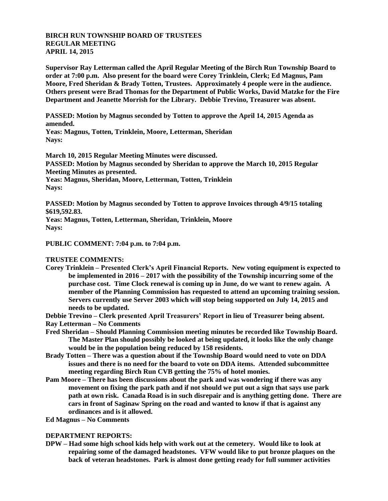## **BIRCH RUN TOWNSHIP BOARD OF TRUSTEES REGULAR MEETING APRIL 14, 2015**

**Supervisor Ray Letterman called the April Regular Meeting of the Birch Run Township Board to order at 7:00 p.m. Also present for the board were Corey Trinklein, Clerk; Ed Magnus, Pam Moore, Fred Sheridan & Brady Totten, Trustees. Approximately 4 people were in the audience. Others present were Brad Thomas for the Department of Public Works, David Matzke for the Fire Department and Jeanette Morrish for the Library. Debbie Trevino, Treasurer was absent.**

**PASSED: Motion by Magnus seconded by Totten to approve the April 14, 2015 Agenda as amended.**

**Yeas: Magnus, Totten, Trinklein, Moore, Letterman, Sheridan Nays:** 

**March 10, 2015 Regular Meeting Minutes were discussed. PASSED: Motion by Magnus seconded by Sheridan to approve the March 10, 2015 Regular Meeting Minutes as presented.**

**Yeas: Magnus, Sheridan, Moore, Letterman, Totten, Trinklein Nays:** 

**PASSED: Motion by Magnus seconded by Totten to approve Invoices through 4/9/15 totaling \$619,592.83.**

**Yeas: Magnus, Totten, Letterman, Sheridan, Trinklein, Moore Nays:** 

**PUBLIC COMMENT: 7:04 p.m. to 7:04 p.m.**

**TRUSTEE COMMENTS:**

- **Corey Trinklein – Presented Clerk's April Financial Reports. New voting equipment is expected to be implemented in 2016 – 2017 with the possibility of the Township incurring some of the purchase cost. Time Clock renewal is coming up in June, do we want to renew again. A member of the Planning Commission has requested to attend an upcoming training session. Servers currently use Server 2003 which will stop being supported on July 14, 2015 and needs to be updated.**
- **Debbie Trevino – Clerk presented April Treasurers' Report in lieu of Treasurer being absent.**

**Ray Letterman – No Comments**

- **Fred Sheridan – Should Planning Commission meeting minutes be recorded like Township Board. The Master Plan should possibly be looked at being updated, it looks like the only change would be in the population being reduced by 158 residents.**
- **Brady Totten – There was a question about if the Township Board would need to vote on DDA issues and there is no need for the board to vote on DDA items. Attended subcommittee meeting regarding Birch Run CVB getting the 75% of hotel monies.**
- **Pam Moore – There has been discussions about the park and was wondering if there was any movement on fixing the park path and if not should we put out a sign that says use park path at own risk. Canada Road is in such disrepair and is anything getting done. There are cars in front of Saginaw Spring on the road and wanted to know if that is against any ordinances and is it allowed.**
- **Ed Magnus – No Comments**

## **DEPARTMENT REPORTS:**

**DPW – Had some high school kids help with work out at the cemetery. Would like to look at repairing some of the damaged headstones. VFW would like to put bronze plaques on the back of veteran headstones. Park is almost done getting ready for full summer activities**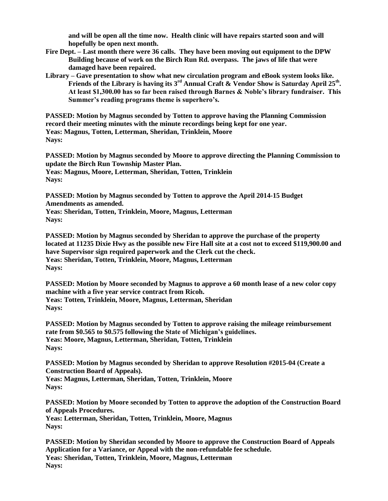**and will be open all the time now. Health clinic will have repairs started soon and will hopefully be open next month.**

- **Fire Dept. – Last month there were 36 calls. They have been moving out equipment to the DPW Building because of work on the Birch Run Rd. overpass. The jaws of life that were damaged have been repaired.**
- **Library – Gave presentation to show what new circulation program and eBook system looks like. Friends of the Library is having its 3rd Annual Craft & Vendor Show is Saturday April 25th . At least \$1,300.00 has so far been raised through Barnes & Noble's library fundraiser. This Summer's reading programs theme is superhero's.**

**PASSED: Motion by Magnus seconded by Totten to approve having the Planning Commission record their meeting minutes with the minute recordings being kept for one year. Yeas: Magnus, Totten, Letterman, Sheridan, Trinklein, Moore Nays:** 

**PASSED: Motion by Magnus seconded by Moore to approve directing the Planning Commission to update the Birch Run Township Master Plan. Yeas: Magnus, Moore, Letterman, Sheridan, Totten, Trinklein Nays:** 

**PASSED: Motion by Magnus seconded by Totten to approve the April 2014-15 Budget Amendments as amended.**

**Yeas: Sheridan, Totten, Trinklein, Moore, Magnus, Letterman Nays:**

**PASSED: Motion by Magnus seconded by Sheridan to approve the purchase of the property located at 11235 Dixie Hwy as the possible new Fire Hall site at a cost not to exceed \$119,900.00 and have Supervisor sign required paperwork and the Clerk cut the check. Yeas: Sheridan, Totten, Trinklein, Moore, Magnus, Letterman Nays:**

**PASSED: Motion by Moore seconded by Magnus to approve a 60 month lease of a new color copy machine with a five year service contract from Ricoh. Yeas: Totten, Trinklein, Moore, Magnus, Letterman, Sheridan Nays:** 

**PASSED: Motion by Magnus seconded by Totten to approve raising the mileage reimbursement rate from \$0.565 to \$0.575 following the State of Michigan's guidelines. Yeas: Moore, Magnus, Letterman, Sheridan, Totten, Trinklein Nays:**

**PASSED: Motion by Magnus seconded by Sheridan to approve Resolution #2015-04 (Create a Construction Board of Appeals). Yeas: Magnus, Letterman, Sheridan, Totten, Trinklein, Moore Nays:** 

**PASSED: Motion by Moore seconded by Totten to approve the adoption of the Construction Board of Appeals Procedures. Yeas: Letterman, Sheridan, Totten, Trinklein, Moore, Magnus Nays:**

**PASSED: Motion by Sheridan seconded by Moore to approve the Construction Board of Appeals Application for a Variance, or Appeal with the non-refundable fee schedule. Yeas: Sheridan, Totten, Trinklein, Moore, Magnus, Letterman Nays:**